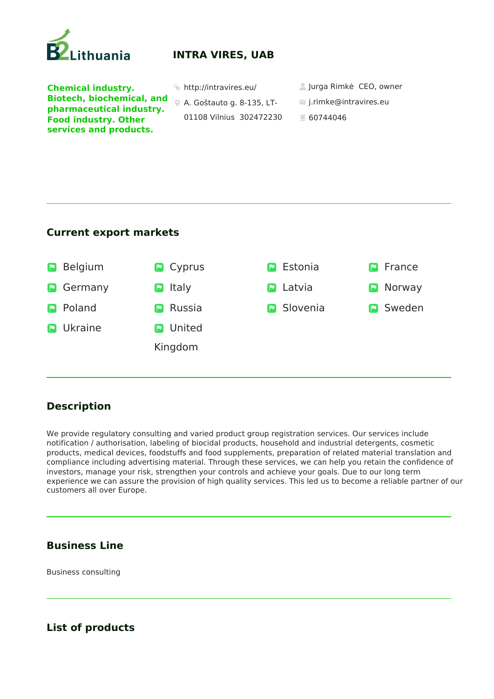

# **INTRA VIRES, UAB**

**Chemical industry. Biotech, biochemical, and pharmaceutical industry. Food industry. Other services and products.** 

- 
- A. Goštauto g. 8-135, LT-
	- 01108 Vilnius 302472230
- http://intravires.eu/ Jurga Rimkė CEO, owner
	- j.rimke@intravires.eu
	- 60744046

### **Current export markets**



## **Description**

We provide regulatory consulting and varied product group registration services. Our services include notification / authorisation, labeling of biocidal products, household and industrial detergents, cosmetic products, medical devices, foodstuffs and food supplements, preparation of related material translation and compliance including advertising material. Through these services, we can help you retain the confidence of investors, manage your risk, strengthen your controls and achieve your goals. Due to our long term experience we can assure the provision of high quality services. This led us to become a reliable partner of our customers all over Europe.

### **Business Line**

Business consulting

### **List of products**